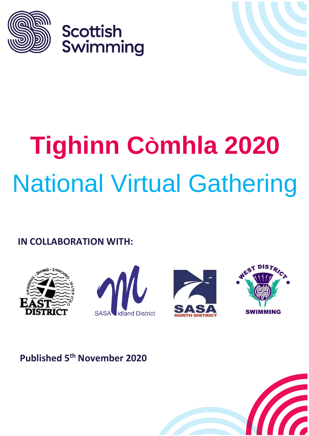

**Scottish** Swimming

# **Tighinn CÒmhla 2020** National Virtual Gathering

#### $\cdots$ **IN COLLABORATION WITH:**









# **Published 5th November 2020**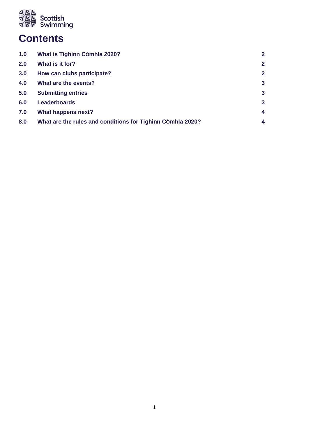

# **Contents**

| 1.0 | What is Tighinn Còmhla 2020?                               | $\mathbf{2}$ |
|-----|------------------------------------------------------------|--------------|
| 2.0 | What is it for?                                            | $\mathbf{2}$ |
| 3.0 | How can clubs participate?                                 | $\mathbf{2}$ |
| 4.0 | What are the events?                                       | $\mathbf{3}$ |
| 5.0 | <b>Submitting entries</b>                                  | $\mathbf{3}$ |
| 6.0 | <b>Leaderboards</b>                                        | $\mathbf{3}$ |
| 7.0 | What happens next?                                         | 4            |
| 8.0 | What are the rules and conditions for Tighinn Comhla 2020? | 4            |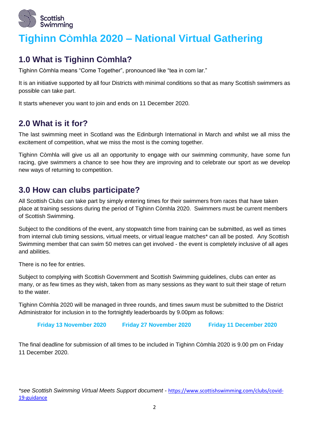

# **Tighinn CÒmhla 2020 – National Virtual Gathering**

## **1.0 What is Tighinn CÒmhla?**

Tighinn Còmhla means "Come Together", pronounced like "tea in com lar."

It is an initiative supported by all four Districts with minimal conditions so that as many Scottish swimmers as possible can take part.

It starts whenever you want to join and ends on 11 December 2020.

## **2.0 What is it for?**

The last swimming meet in Scotland was the Edinburgh International in March and whilst we all miss the excitement of competition, what we miss the most is the coming together.

Tighinn Còmhla will give us all an opportunity to engage with our swimming community, have some fun racing, give swimmers a chance to see how they are improving and to celebrate our sport as we develop new ways of returning to competition.

## **3.0 How can clubs participate?**

All Scottish Clubs can take part by simply entering times for their swimmers from races that have taken place at training sessions during the period of Tighinn Còmhla 2020. Swimmers must be current members of Scottish Swimming.

Subject to the conditions of the event, any stopwatch time from training can be submitted, as well as times from internal club timing sessions, virtual meets, or virtual league matches\* can all be posted. Any Scottish Swimming member that can swim 50 metres can get involved - the event is completely inclusive of all ages and abilities.

There is no fee for entries.

Subject to complying with Scottish Government and Scottish Swimming guidelines, clubs can enter as many, or as few times as they wish, taken from as many sessions as they want to suit their stage of return to the water.

Tighinn Còmhla 2020 will be managed in three rounds, and times swum must be submitted to the District Administrator for inclusion in to the fortnightly leaderboards by 9.00pm as follows:

**Friday 13 November 2020 Friday 27 November 2020 Friday 11 December 2020**

The final deadline for submission of all times to be included in Tighinn Còmhla 2020 is 9.00 pm on Friday 11 December 2020.

*\*see Scottish Swimming Virtual Meets Support document -* [https://www.scottishswimming.com/clubs/covid-](https://www.scottishswimming.com/clubs/covid-19-guidance)[19-guidance](https://www.scottishswimming.com/clubs/covid-19-guidance)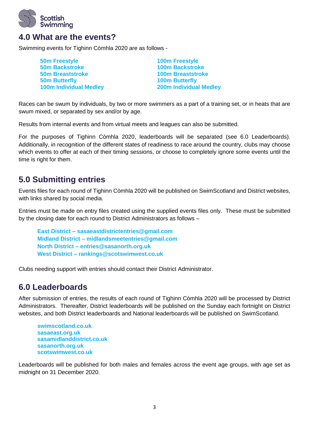

#### **4.0 What are the events?**

Swimming events for Tighinn Còmhla 2020 are as follows -

| <b>50m Freestyle</b>          | <b>100m Freestyle</b>         |
|-------------------------------|-------------------------------|
| <b>50m Backstroke</b>         | <b>100m Backstroke</b>        |
| <b>50m Breaststroke</b>       | <b>100m Breaststroke</b>      |
| <b>50m Butterfly</b>          | <b>100m Butterfly</b>         |
| <b>100m Individual Medley</b> | <b>200m Individual Medley</b> |
|                               |                               |

Races can be swum by individuals, by two or more swimmers as a part of a training set, or in heats that are swum mixed, or separated by sex and/or by age.

Results from internal events and from virtual meets and leagues can also be submitted.

For the purposes of Tighinn Còmhla 2020, leaderboards will be separated (see 6.0 Leaderboards). Additionally, in recognition of the different states of readiness to race around the country, clubs may choose which events to offer at each of their timing sessions, or choose to completely ignore some events until the time is right for them.

#### **5.0 Submitting entries**

Events files for each round of Tighinn Còmhla 2020 will be published on SwimScotland and District websites, with links shared by social media.

Entries must be made on entry files created using the supplied events files only. These must be submitted by the closing date for each round to District Administrators as follows –

**East District – sasaeastdistrictentries@gmail.com Midland District – [midlandsmeetentries@gmail.com](mailto:midlandsmeetentries@gmail.com) North District – [entries@sasanorth.org.uk](mailto:entries@sasanorth.org.uk) West District – rankings@scotswimwest.co.uk**

Clubs needing support with entries should contact their District Administrator.

#### **6.0 Leaderboards**

After submission of entries, the results of each round of Tighinn Còmhla 2020 will be processed by District Administrators. Thereafter, District leaderboards will be published on the Sunday each fortnight on District websites, and both District leaderboards and National leaderboards will be published on SwimScotland.

**swimscotland.co.uk sasaeast.org.uk sasamidlanddistrict.co.uk sasanorth.org.uk scotswimwest.co.uk**

Leaderboards will be published for both males and females across the event age groups, with age set as midnight on 31 December 2020.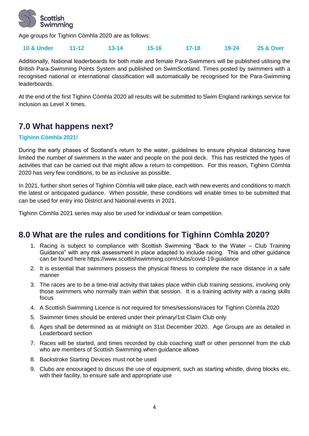

Age groups for Tighinn Còmhla 2020 are as follows:

#### **10 & Under 11-12 13-14 15-16 17-18 19-24 25 & Over**

Additionally, National leaderboards for both male and female Para-Swimmers will be published utilising the British Para-Swimming Points System and published on SwimScotland. Times posted by swimmers with a recognised national or international classification will automatically be recognised for the Para-Swimming leaderboards.

At the end of the first Tighinn Còmhla 2020 all results will be submitted to Swim England rankings service for inclusion as Level X times.

## **7.0 What happens next?**

#### **Tighinn Còmhla 2021!**

During the early phases of Scotland's return to the water, guidelines to ensure physical distancing have limited the number of swimmers in the water and people on the pool deck. This has restricted the types of activities that can be carried out that might allow a return to competition. For this reason, Tighinn Còmhla 2020 has very few conditions, to be as inclusive as possible.

In 2021, further short series of Tighinn Còmhla will take place, each with new events and conditions to match the latest or anticipated guidance. When possible, these conditions will enable times to be submitted that can be used for entry into District and National events in 2021.

Tighinn Còmhla 2021 series may also be used for individual or team competition.

#### **8.0 What are the rules and conditions for Tighinn CÒmhla 2020?**

- 1. Racing is subject to compliance with Scottish Swimming "Back to the Water Club Training Guidance" with any risk assessment in place adapted to include racing. This and other guidance can be found here https://www.scottishswimming.com/clubs/covid-19-guidance
- 2. It is essential that swimmers possess the physical fitness to complete the race distance in a safe manner
- 3. The races are to be a time-trial activity that takes place within club training sessions, involving only those swimmers who normally train within that session. It is a training activity with a racing skills focus
- 4. A Scottish Swimming Licence is not required for times/sessions/races for Tighinn Còmhla 2020
- 5. Swimmer times should be entered under their primary/1st Claim Club only
- 6. Ages shall be determined as at midnight on 31st December 2020. Age Groups are as detailed in Leaderboard section
- 7. Races will be started, and times recorded by club coaching staff or other personnel from the club who are members of Scottish Swimming when guidance allows
- 8. Backstroke Starting Devices must not be used
- 9. Clubs are encouraged to discuss the use of equipment, such as starting whistle, diving blocks etc, with their facility, to ensure safe and appropriate use